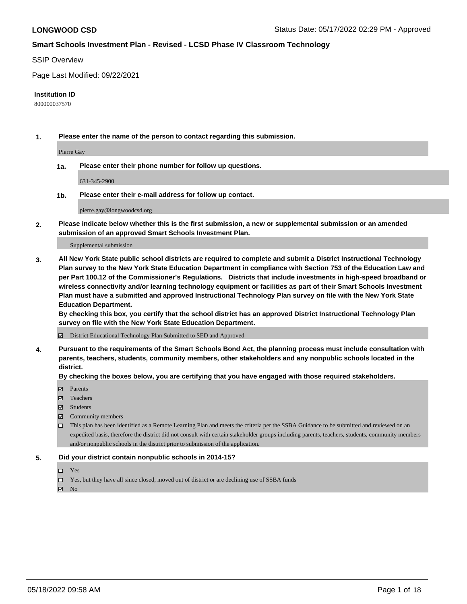#### SSIP Overview

Page Last Modified: 09/22/2021

#### **Institution ID**

800000037570

**1. Please enter the name of the person to contact regarding this submission.**

Pierre Gay

**1a. Please enter their phone number for follow up questions.**

631-345-2900

**1b. Please enter their e-mail address for follow up contact.**

pierre.gay@longwoodcsd.org

**2. Please indicate below whether this is the first submission, a new or supplemental submission or an amended submission of an approved Smart Schools Investment Plan.**

Supplemental submission

**3. All New York State public school districts are required to complete and submit a District Instructional Technology Plan survey to the New York State Education Department in compliance with Section 753 of the Education Law and per Part 100.12 of the Commissioner's Regulations. Districts that include investments in high-speed broadband or wireless connectivity and/or learning technology equipment or facilities as part of their Smart Schools Investment Plan must have a submitted and approved Instructional Technology Plan survey on file with the New York State Education Department.** 

**By checking this box, you certify that the school district has an approved District Instructional Technology Plan survey on file with the New York State Education Department.**

District Educational Technology Plan Submitted to SED and Approved

**4. Pursuant to the requirements of the Smart Schools Bond Act, the planning process must include consultation with parents, teachers, students, community members, other stakeholders and any nonpublic schools located in the district.** 

**By checking the boxes below, you are certifying that you have engaged with those required stakeholders.**

- **□** Parents
- Teachers
- Students
- $\Xi$  Community members
- This plan has been identified as a Remote Learning Plan and meets the criteria per the SSBA Guidance to be submitted and reviewed on an expedited basis, therefore the district did not consult with certain stakeholder groups including parents, teachers, students, community members and/or nonpublic schools in the district prior to submission of the application.

#### **5. Did your district contain nonpublic schools in 2014-15?**

- Yes
- $\Box$  Yes, but they have all since closed, moved out of district or are declining use of SSBA funds

 $\boxtimes$  No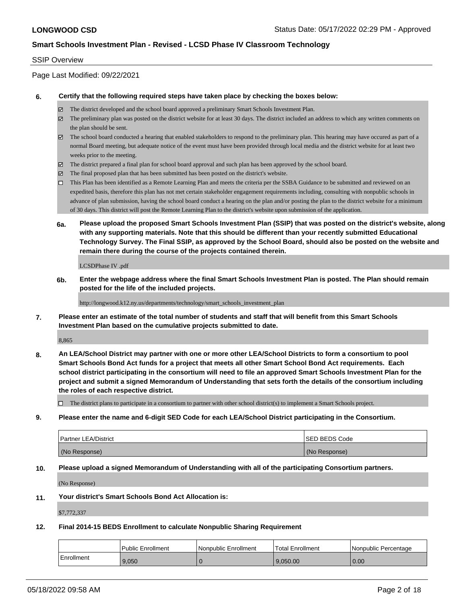### SSIP Overview

Page Last Modified: 09/22/2021

#### **6. Certify that the following required steps have taken place by checking the boxes below:**

- The district developed and the school board approved a preliminary Smart Schools Investment Plan.
- $\boxtimes$  The preliminary plan was posted on the district website for at least 30 days. The district included an address to which any written comments on the plan should be sent.
- $\boxtimes$  The school board conducted a hearing that enabled stakeholders to respond to the preliminary plan. This hearing may have occured as part of a normal Board meeting, but adequate notice of the event must have been provided through local media and the district website for at least two weeks prior to the meeting.
- The district prepared a final plan for school board approval and such plan has been approved by the school board.
- $\boxtimes$  The final proposed plan that has been submitted has been posted on the district's website.
- This Plan has been identified as a Remote Learning Plan and meets the criteria per the SSBA Guidance to be submitted and reviewed on an expedited basis, therefore this plan has not met certain stakeholder engagement requirements including, consulting with nonpublic schools in advance of plan submission, having the school board conduct a hearing on the plan and/or posting the plan to the district website for a minimum of 30 days. This district will post the Remote Learning Plan to the district's website upon submission of the application.
- **6a. Please upload the proposed Smart Schools Investment Plan (SSIP) that was posted on the district's website, along with any supporting materials. Note that this should be different than your recently submitted Educational Technology Survey. The Final SSIP, as approved by the School Board, should also be posted on the website and remain there during the course of the projects contained therein.**

LCSDPhase IV .pdf

**6b. Enter the webpage address where the final Smart Schools Investment Plan is posted. The Plan should remain posted for the life of the included projects.**

http://longwood.k12.ny.us/departments/technology/smart\_schools\_investment\_plan

**7. Please enter an estimate of the total number of students and staff that will benefit from this Smart Schools Investment Plan based on the cumulative projects submitted to date.**

8,865

**8. An LEA/School District may partner with one or more other LEA/School Districts to form a consortium to pool Smart Schools Bond Act funds for a project that meets all other Smart School Bond Act requirements. Each school district participating in the consortium will need to file an approved Smart Schools Investment Plan for the project and submit a signed Memorandum of Understanding that sets forth the details of the consortium including the roles of each respective district.**

 $\Box$  The district plans to participate in a consortium to partner with other school district(s) to implement a Smart Schools project.

**9. Please enter the name and 6-digit SED Code for each LEA/School District participating in the Consortium.**

| <b>Partner LEA/District</b> | <b>ISED BEDS Code</b> |
|-----------------------------|-----------------------|
| (No Response)               | (No Response)         |

### **10. Please upload a signed Memorandum of Understanding with all of the participating Consortium partners.**

(No Response)

#### **11. Your district's Smart Schools Bond Act Allocation is:**

\$7,772,337

### **12. Final 2014-15 BEDS Enrollment to calculate Nonpublic Sharing Requirement**

|            | <b>Public Enrollment</b> | Nonpublic Enrollment | <b>Total Enrollment</b> | l Nonpublic Percentage |
|------------|--------------------------|----------------------|-------------------------|------------------------|
| Enrollment | 9.050                    |                      | 9.050.00                | 0.00                   |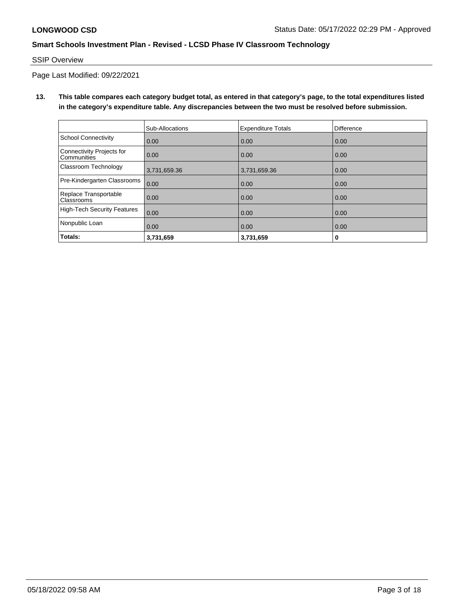## SSIP Overview

Page Last Modified: 09/22/2021

**13. This table compares each category budget total, as entered in that category's page, to the total expenditures listed in the category's expenditure table. Any discrepancies between the two must be resolved before submission.**

|                                            | Sub-Allocations | <b>Expenditure Totals</b> | Difference |
|--------------------------------------------|-----------------|---------------------------|------------|
| <b>School Connectivity</b>                 | 0.00            | 0.00                      | 0.00       |
| Connectivity Projects for<br>Communities   | 0.00            | 0.00                      | 0.00       |
| Classroom Technology                       | 3,731,659.36    | 3,731,659.36              | 0.00       |
| Pre-Kindergarten Classrooms                | 0.00            | 0.00                      | 0.00       |
| Replace Transportable<br><b>Classrooms</b> | 0.00            | 0.00                      | 0.00       |
| High-Tech Security Features                | 0.00            | 0.00                      | 0.00       |
| Nonpublic Loan                             | 0.00            | 0.00                      | 0.00       |
| Totals:                                    | 3,731,659       | 3,731,659                 | 0          |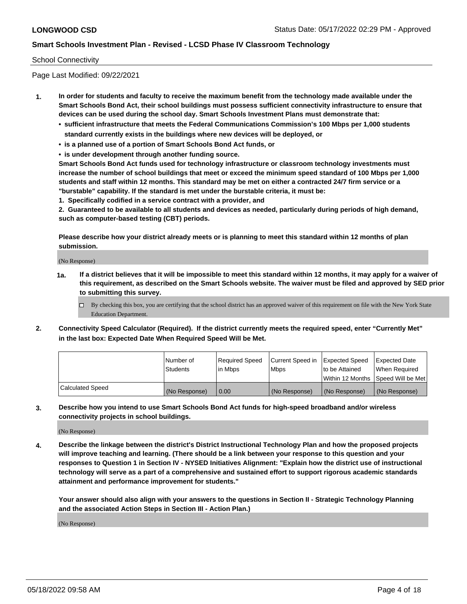## School Connectivity

Page Last Modified: 09/22/2021

- **1. In order for students and faculty to receive the maximum benefit from the technology made available under the Smart Schools Bond Act, their school buildings must possess sufficient connectivity infrastructure to ensure that devices can be used during the school day. Smart Schools Investment Plans must demonstrate that:**
	- **• sufficient infrastructure that meets the Federal Communications Commission's 100 Mbps per 1,000 students standard currently exists in the buildings where new devices will be deployed, or**
	- **• is a planned use of a portion of Smart Schools Bond Act funds, or**
	- **• is under development through another funding source.**

**Smart Schools Bond Act funds used for technology infrastructure or classroom technology investments must increase the number of school buildings that meet or exceed the minimum speed standard of 100 Mbps per 1,000 students and staff within 12 months. This standard may be met on either a contracted 24/7 firm service or a "burstable" capability. If the standard is met under the burstable criteria, it must be:**

**1. Specifically codified in a service contract with a provider, and**

**2. Guaranteed to be available to all students and devices as needed, particularly during periods of high demand, such as computer-based testing (CBT) periods.**

**Please describe how your district already meets or is planning to meet this standard within 12 months of plan submission.**

(No Response)

- **1a. If a district believes that it will be impossible to meet this standard within 12 months, it may apply for a waiver of this requirement, as described on the Smart Schools website. The waiver must be filed and approved by SED prior to submitting this survey.**
	- By checking this box, you are certifying that the school district has an approved waiver of this requirement on file with the New York State Education Department.
- **2. Connectivity Speed Calculator (Required). If the district currently meets the required speed, enter "Currently Met" in the last box: Expected Date When Required Speed Will be Met.**

|                  | l Number of<br><b>Students</b> | Required Speed<br>l in Mbps | Current Speed in<br><b>Mbps</b> | <b>Expected Speed</b><br>to be Attained | Expected Date<br>When Reauired |
|------------------|--------------------------------|-----------------------------|---------------------------------|-----------------------------------------|--------------------------------|
|                  |                                |                             |                                 | Within 12 Months 1Speed Will be Met     |                                |
| Calculated Speed | (No Response)                  | 0.00                        | (No Response)                   | (No Response)                           | (No Response)                  |

**3. Describe how you intend to use Smart Schools Bond Act funds for high-speed broadband and/or wireless connectivity projects in school buildings.**

(No Response)

**4. Describe the linkage between the district's District Instructional Technology Plan and how the proposed projects will improve teaching and learning. (There should be a link between your response to this question and your responses to Question 1 in Section IV - NYSED Initiatives Alignment: "Explain how the district use of instructional technology will serve as a part of a comprehensive and sustained effort to support rigorous academic standards attainment and performance improvement for students."** 

**Your answer should also align with your answers to the questions in Section II - Strategic Technology Planning and the associated Action Steps in Section III - Action Plan.)**

(No Response)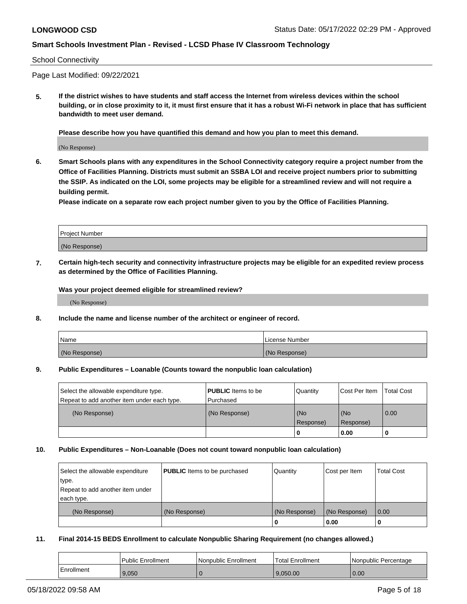#### School Connectivity

Page Last Modified: 09/22/2021

**5. If the district wishes to have students and staff access the Internet from wireless devices within the school building, or in close proximity to it, it must first ensure that it has a robust Wi-Fi network in place that has sufficient bandwidth to meet user demand.**

**Please describe how you have quantified this demand and how you plan to meet this demand.**

(No Response)

**6. Smart Schools plans with any expenditures in the School Connectivity category require a project number from the Office of Facilities Planning. Districts must submit an SSBA LOI and receive project numbers prior to submitting the SSIP. As indicated on the LOI, some projects may be eligible for a streamlined review and will not require a building permit.**

**Please indicate on a separate row each project number given to you by the Office of Facilities Planning.**

| <b>Project Number</b> |  |
|-----------------------|--|
| (No Response)         |  |

**7. Certain high-tech security and connectivity infrastructure projects may be eligible for an expedited review process as determined by the Office of Facilities Planning.**

**Was your project deemed eligible for streamlined review?**

(No Response)

#### **8. Include the name and license number of the architect or engineer of record.**

| Name          | I License Number |
|---------------|------------------|
| (No Response) | (No Response)    |

#### **9. Public Expenditures – Loanable (Counts toward the nonpublic loan calculation)**

| Select the allowable expenditure type.<br>Repeat to add another item under each type. | <b>PUBLIC</b> Items to be<br>l Purchased | Quantity         | Cost Per Item    | <b>Total Cost</b> |
|---------------------------------------------------------------------------------------|------------------------------------------|------------------|------------------|-------------------|
| (No Response)                                                                         | (No Response)                            | (No<br>Response) | (No<br>Response) | 0.00              |
|                                                                                       |                                          | -0               | 0.00             |                   |

### **10. Public Expenditures – Non-Loanable (Does not count toward nonpublic loan calculation)**

| Select the allowable expenditure | <b>PUBLIC</b> Items to be purchased | Quantity      | Cost per Item | <b>Total Cost</b> |
|----------------------------------|-------------------------------------|---------------|---------------|-------------------|
| type.                            |                                     |               |               |                   |
| Repeat to add another item under |                                     |               |               |                   |
| each type.                       |                                     |               |               |                   |
| (No Response)                    | (No Response)                       | (No Response) | (No Response) | 0.00              |
|                                  |                                     | U             | 0.00          |                   |

### **11. Final 2014-15 BEDS Enrollment to calculate Nonpublic Sharing Requirement (no changes allowed.)**

|            | Public Enrollment | Nonpublic Enrollment | Total Enrollment | l Nonpublic Percentage |
|------------|-------------------|----------------------|------------------|------------------------|
| Enrollment | 9.050             |                      | 9.050.00         | 0.00                   |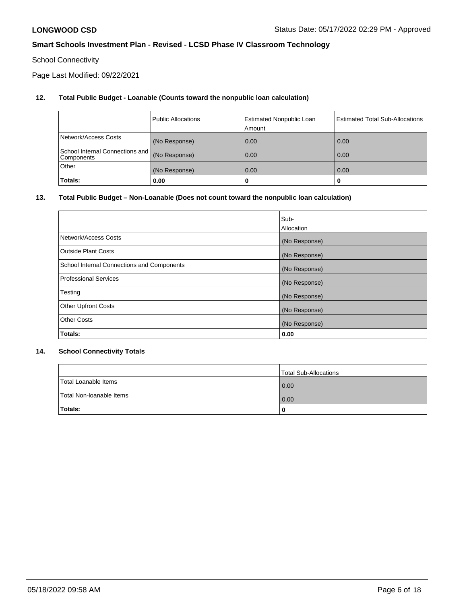# School Connectivity

Page Last Modified: 09/22/2021

## **12. Total Public Budget - Loanable (Counts toward the nonpublic loan calculation)**

|                                               | <b>Public Allocations</b> | <b>Estimated Nonpublic Loan</b><br>Amount | Estimated Total Sub-Allocations |
|-----------------------------------------------|---------------------------|-------------------------------------------|---------------------------------|
| Network/Access Costs                          | (No Response)             | 0.00                                      | 0.00                            |
| School Internal Connections and<br>Components | (No Response)             | 0.00                                      | 0.00                            |
| Other                                         | (No Response)             | 0.00                                      | 0.00                            |
| Totals:                                       | 0.00                      |                                           | 0                               |

## **13. Total Public Budget – Non-Loanable (Does not count toward the nonpublic loan calculation)**

|                                            | Sub-          |
|--------------------------------------------|---------------|
|                                            | Allocation    |
| Network/Access Costs                       | (No Response) |
| <b>Outside Plant Costs</b>                 | (No Response) |
| School Internal Connections and Components | (No Response) |
| <b>Professional Services</b>               | (No Response) |
| Testing                                    | (No Response) |
| <b>Other Upfront Costs</b>                 | (No Response) |
| <b>Other Costs</b>                         | (No Response) |
| Totals:                                    | 0.00          |

## **14. School Connectivity Totals**

|                          | Total Sub-Allocations |
|--------------------------|-----------------------|
| Total Loanable Items     | 0.00                  |
| Total Non-Ioanable Items | 0.00                  |
| Totals:                  | 0                     |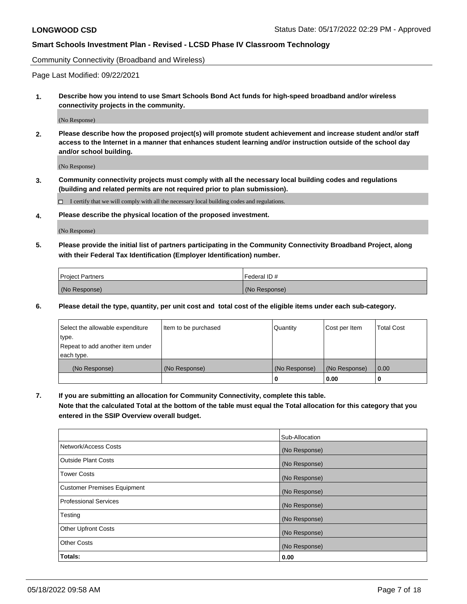Community Connectivity (Broadband and Wireless)

Page Last Modified: 09/22/2021

**1. Describe how you intend to use Smart Schools Bond Act funds for high-speed broadband and/or wireless connectivity projects in the community.**

(No Response)

**2. Please describe how the proposed project(s) will promote student achievement and increase student and/or staff access to the Internet in a manner that enhances student learning and/or instruction outside of the school day and/or school building.**

(No Response)

**3. Community connectivity projects must comply with all the necessary local building codes and regulations (building and related permits are not required prior to plan submission).**

 $\Box$  I certify that we will comply with all the necessary local building codes and regulations.

**4. Please describe the physical location of the proposed investment.**

(No Response)

**5. Please provide the initial list of partners participating in the Community Connectivity Broadband Project, along with their Federal Tax Identification (Employer Identification) number.**

| <b>Project Partners</b> | Federal ID#   |
|-------------------------|---------------|
| (No Response)           | (No Response) |

**6. Please detail the type, quantity, per unit cost and total cost of the eligible items under each sub-category.**

| Select the allowable expenditure          | Item to be purchased | Quantity      | Cost per Item | <b>Total Cost</b> |
|-------------------------------------------|----------------------|---------------|---------------|-------------------|
| type.<br>Repeat to add another item under |                      |               |               |                   |
| each type.                                |                      |               |               |                   |
| (No Response)                             | (No Response)        | (No Response) | (No Response) | 0.00              |
|                                           |                      | 0             | 0.00          |                   |

**7. If you are submitting an allocation for Community Connectivity, complete this table.**

**Note that the calculated Total at the bottom of the table must equal the Total allocation for this category that you entered in the SSIP Overview overall budget.**

|                                    | Sub-Allocation |
|------------------------------------|----------------|
| Network/Access Costs               | (No Response)  |
| Outside Plant Costs                | (No Response)  |
| <b>Tower Costs</b>                 | (No Response)  |
| <b>Customer Premises Equipment</b> | (No Response)  |
| Professional Services              | (No Response)  |
| Testing                            | (No Response)  |
| <b>Other Upfront Costs</b>         | (No Response)  |
| <b>Other Costs</b>                 | (No Response)  |
| Totals:                            | 0.00           |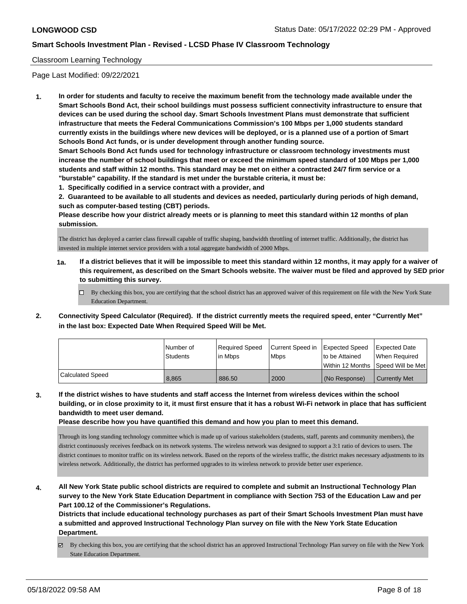## Classroom Learning Technology

Page Last Modified: 09/22/2021

**1. In order for students and faculty to receive the maximum benefit from the technology made available under the Smart Schools Bond Act, their school buildings must possess sufficient connectivity infrastructure to ensure that devices can be used during the school day. Smart Schools Investment Plans must demonstrate that sufficient infrastructure that meets the Federal Communications Commission's 100 Mbps per 1,000 students standard currently exists in the buildings where new devices will be deployed, or is a planned use of a portion of Smart Schools Bond Act funds, or is under development through another funding source.**

**Smart Schools Bond Act funds used for technology infrastructure or classroom technology investments must increase the number of school buildings that meet or exceed the minimum speed standard of 100 Mbps per 1,000 students and staff within 12 months. This standard may be met on either a contracted 24/7 firm service or a "burstable" capability. If the standard is met under the burstable criteria, it must be:**

**1. Specifically codified in a service contract with a provider, and**

**2. Guaranteed to be available to all students and devices as needed, particularly during periods of high demand, such as computer-based testing (CBT) periods.**

**Please describe how your district already meets or is planning to meet this standard within 12 months of plan submission.**

The district has deployed a carrier class firewall capable of traffic shaping, bandwidth throttling of internet traffic. Additionally, the district has invested in multiple internet service providers with a total aggregate bandwidth of 2000 Mbps.

- **1a. If a district believes that it will be impossible to meet this standard within 12 months, it may apply for a waiver of this requirement, as described on the Smart Schools website. The waiver must be filed and approved by SED prior to submitting this survey.**
	- By checking this box, you are certifying that the school district has an approved waiver of this requirement on file with the New York State Education Department.
- **2. Connectivity Speed Calculator (Required). If the district currently meets the required speed, enter "Currently Met" in the last box: Expected Date When Required Speed Will be Met.**

|                  | l Number of | Required Speed | Current Speed in | Expected Speed  | <b>Expected Date</b>                |
|------------------|-------------|----------------|------------------|-----------------|-------------------------------------|
|                  | Students    | l in Mbps      | <b>Mbps</b>      | Ito be Attained | When Required                       |
|                  |             |                |                  |                 | Within 12 Months ISpeed Will be Met |
| Calculated Speed | 8.865       | 886.50         | 2000             | (No Response)   | <b>Currently Met</b>                |

**3. If the district wishes to have students and staff access the Internet from wireless devices within the school building, or in close proximity to it, it must first ensure that it has a robust Wi-Fi network in place that has sufficient bandwidth to meet user demand.**

**Please describe how you have quantified this demand and how you plan to meet this demand.**

Through its long standing technology committee which is made up of various stakeholders (students, staff, parents and community members), the district continuously receives feedback on its network systems. The wireless network was designed to support a 3:1 ratio of devices to users. The district continues to monitor traffic on its wireless network. Based on the reports of the wireless traffic, the district makes necessary adjustments to its wireless network. Additionally, the district has performed upgrades to its wireless network to provide better user experience.

**4. All New York State public school districts are required to complete and submit an Instructional Technology Plan survey to the New York State Education Department in compliance with Section 753 of the Education Law and per Part 100.12 of the Commissioner's Regulations.**

**Districts that include educational technology purchases as part of their Smart Schools Investment Plan must have a submitted and approved Instructional Technology Plan survey on file with the New York State Education Department.**

By checking this box, you are certifying that the school district has an approved Instructional Technology Plan survey on file with the New York State Education Department.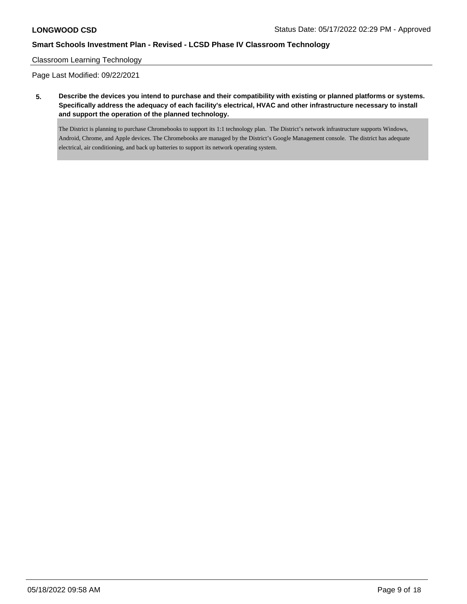## Classroom Learning Technology

Page Last Modified: 09/22/2021

**5. Describe the devices you intend to purchase and their compatibility with existing or planned platforms or systems. Specifically address the adequacy of each facility's electrical, HVAC and other infrastructure necessary to install and support the operation of the planned technology.**

The District is planning to purchase Chromebooks to support its 1:1 technology plan. The District's network infrastructure supports Windows, Android, Chrome, and Apple devices. The Chromebooks are managed by the District's Google Management console. The district has adequate electrical, air conditioning, and back up batteries to support its network operating system.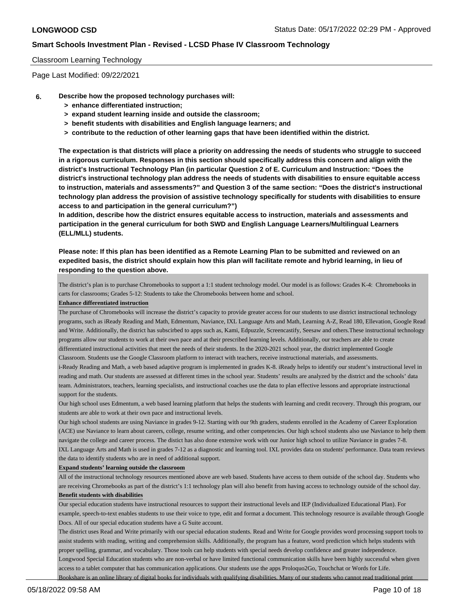### Classroom Learning Technology

Page Last Modified: 09/22/2021

#### **6. Describe how the proposed technology purchases will:**

- **> enhance differentiated instruction;**
- **> expand student learning inside and outside the classroom;**
- **> benefit students with disabilities and English language learners; and**
- **> contribute to the reduction of other learning gaps that have been identified within the district.**

**The expectation is that districts will place a priority on addressing the needs of students who struggle to succeed in a rigorous curriculum. Responses in this section should specifically address this concern and align with the district's Instructional Technology Plan (in particular Question 2 of E. Curriculum and Instruction: "Does the district's instructional technology plan address the needs of students with disabilities to ensure equitable access to instruction, materials and assessments?" and Question 3 of the same section: "Does the district's instructional technology plan address the provision of assistive technology specifically for students with disabilities to ensure access to and participation in the general curriculum?")**

**In addition, describe how the district ensures equitable access to instruction, materials and assessments and participation in the general curriculum for both SWD and English Language Learners/Multilingual Learners (ELL/MLL) students.**

## **Please note: If this plan has been identified as a Remote Learning Plan to be submitted and reviewed on an expedited basis, the district should explain how this plan will facilitate remote and hybrid learning, in lieu of responding to the question above.**

The district's plan is to purchase Chromebooks to support a 1:1 student technology model. Our model is as follows: Grades K-4: Chromebooks in carts for classrooms; Grades 5-12: Students to take the Chromebooks between home and school.

#### **Enhance differentiated instruction**

The purchase of Chromebooks will increase the district's capacity to provide greater access for our students to use district instructional technology programs, such as iReady Reading and Math, Edmentum, Naviance, IXL Language Arts and Math, Learning A-Z, Read 180, Ellevation, Google Read and Write. Additionally, the district has subscirbed to apps such as, Kami, Edpuzzle, Screencastify, Seesaw and others.These instructional technology programs allow our students to work at their own pace and at their prescribed learning levels. Additionally, our teachers are able to create differentiated instructional activities that meet the needs of their students. In the 2020-2021 school year, the district implemented Google Classroom. Students use the Google Classroom platform to interact with teachers, receive instructional materials, and assessments.

i-Ready Reading and Math, a web based adaptive program is implemented in grades K-8. iReady helps to identify our student's instructional level in reading and math. Our students are assessed at different times in the school year. Students' results are analyzed by the district and the schools' data team. Administrators, teachers, learning specialists, and instructional coaches use the data to plan effective lessons and appropriate instructional support for the students.

Our high school uses Edmentum, a web based learning platform that helps the students with learning and credit recovery. Through this program, our students are able to work at their own pace and instructional levels.

Our high school students are using Naviance in grades 9-12. Starting with our 9th graders, students enrolled in the Academy of Career Exploration (ACE) use Naviance to learn about careers, college, resume writing, and other competencies. Our high school students also use Naviance to help them navigate the college and career process. The distict has also done extensive work with our Junior high school to utilize Naviance in grades 7-8. IXL Language Arts and Math is used in grades 7-12 as a diagnostic and learning tool. IXL provides data on students' performance. Data team reviews the data to identify students who are in need of additional support.

#### **Expand students' learning outside the classroom**

All of the instructional technology resources mentioned above are web based. Students have access to them outside of the school day. Students who are receiving Chromebooks as part of the district's 1:1 technology plan will also benefit from having access to technology outside of the school day. **Benefit students with disabilities**

Our special education students have instructional resources to support their instructional levels and IEP (Individualized Educational Plan). For example, speech-to-text enables students to use their voice to type, edit and format a document. This technology resource is available through Google Docs. All of our special education students have a G Suite account.

The district uses Read and Write primarily with our special education students. Read and Write for Google provides word processing support tools to assist students with reading, writing and comprehension skills. Additionally, the program has a feature, word prediction which helps students with proper spelling, grammar, and vocabulary. Those tools can help students with special needs develop confidence and greater independence. Longwood Special Education students who are non-verbal or have limited functional communication skills have been highly successful when given access to a tablet computer that has communication applications. Our students use the apps Proloquo2Go, Touchchat or Words for Life. Bookshare is an online library of digital books for individuals with qualifying disabilities. Many of our students who cannot read traditional print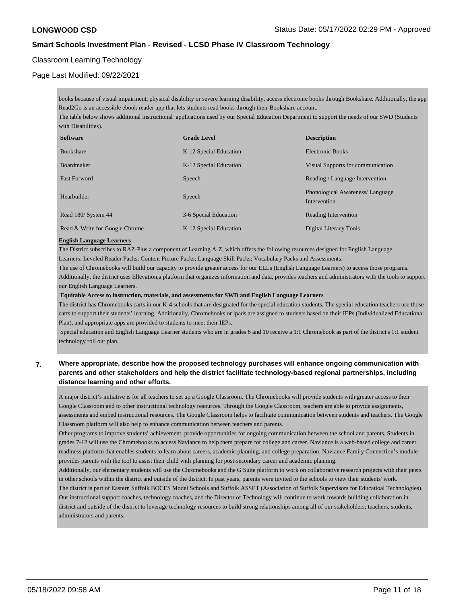## Classroom Learning Technology

### Page Last Modified: 09/22/2021

books because of visual impairment, physical disability or severe learning disability, access electronic books through Bookshare. Additionally, the app Read2Go is an accessible ebook reader app that lets students read books through their Bookshare account. The table below shows additional instructional applications used by our Special Education Department to support the needs of our SWD (Students

with Disabilities).

| <b>Software</b>                | <b>Grade Level</b>     | <b>Description</b>                               |
|--------------------------------|------------------------|--------------------------------------------------|
| <b>Bookshare</b>               | K-12 Special Education | Electronic Books                                 |
| <b>Boardmaker</b>              | K-12 Special Education | Visual Supports for communication                |
| <b>Fast Forword</b>            | Speech                 | Reading / Language Intervention                  |
| Hearbuilder                    | Speech                 | Phonological Awareness/ Language<br>Intervention |
| Read 180/ System 44            | 3-6 Special Education  | Reading Intervention                             |
| Read & Write for Google Chrome | K-12 Special Education | Digital Literacy Tools                           |

#### **English Language Learners**

The District subscribes to RAZ-Plus a component of Learning A-Z, which offers the following resources designed for English Language Learners: Leveled Reader Packs; Content Picture Packs; Language Skill Packs; Vocabulary Packs and Assessments.

The use of Chromebooks will build our capacity to provide greater access for our ELLs (English Language Learners) to access those programs. Additionally, the district uses Ellevation,a platform that organizes information and data, provides teachers and administrators with the tools to support our English Language Learners.

 **Equitable Access to instruction, materials, and assessments for SWD and English Language Learners**

The district has Chromebooks carts in our K-4 schools that are designated for the special education students. The special education teachers use those carts to support their students' learning. Additionally, Chromebooks or ipads are assigned to students based on their IEPs (Individualized Educational Plan), and appropriate apps are provided to students to meet their IEPs.

 Special education and English Language Learner students who are in grades 6 and 10 receive a 1:1 Chromebook as part of the district's 1:1 student technology roll out plan.

## **7. Where appropriate, describe how the proposed technology purchases will enhance ongoing communication with parents and other stakeholders and help the district facilitate technology-based regional partnerships, including distance learning and other efforts.**

A major district's initiative is for all teachers to set up a Google Classroom. The Chromebooks will provide students with greater access to their Google Classroom and to other instructional technology resources. Through the Google Classroom, teachers are able to provide assignments, assessments and embed instructional resources. The Google Classroom helps to facilitate communication between students and teachers. The Google Classroom platform will also help to enhance communication between teachers and parents.

Other programs to improve students' achievement provide opportunities for ongoing communication between the school and parents. Students in grades 7-12 will use the Chromebooks to access Naviance to help them prepare for college and career. Naviance is a web-based college and career readiness platform that enables students to learn about careers, academic planning, and college preparation. Naviance Family Connection's module provides parents with the tool to assist their child with planning for post-secondary career and academic planning.

Additionally, our elementary students will use the Chromebooks and the G Suite platform to work on collaborative research projects with their peers in other schools within the district and outside of the district. In past years, parents were invited to the schools to view their students' work. The district is part of Eastern Suffolk BOCES Model Schools and Suffolk ASSET (Association of Suffolk Supervisors for Educatioal Technologies). Our instructional support coaches, technology coaches, and the Director of Technology will continue to work towards building collaboration in-

district and outside of the district to leverage technology resources to build strong relationships among all of our stakeholders; teachers, students, administrators and parents.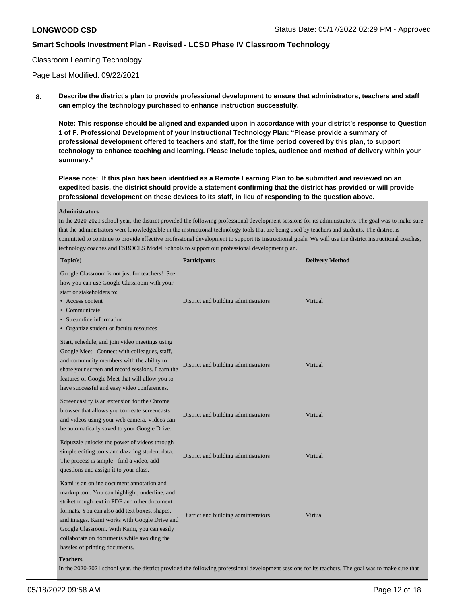### Classroom Learning Technology

Page Last Modified: 09/22/2021

**8. Describe the district's plan to provide professional development to ensure that administrators, teachers and staff can employ the technology purchased to enhance instruction successfully.**

**Note: This response should be aligned and expanded upon in accordance with your district's response to Question 1 of F. Professional Development of your Instructional Technology Plan: "Please provide a summary of professional development offered to teachers and staff, for the time period covered by this plan, to support technology to enhance teaching and learning. Please include topics, audience and method of delivery within your summary."**

**Please note: If this plan has been identified as a Remote Learning Plan to be submitted and reviewed on an expedited basis, the district should provide a statement confirming that the district has provided or will provide professional development on these devices to its staff, in lieu of responding to the question above.**

#### **Administrators**

In the 2020-2021 school year, the district provided the following professional development sessions for its administrators. The goal was to make sure that the administrators were knowledgeable in the instructional technology tools that are being used by teachers and students. The district is committed to continue to provide effective professional development to support its instructional goals. We will use the district instructional coaches, technology coaches and ESBOCES Model Schools to support our professional development plan.

| Topic(s)                                                                                                                                                                                                                                                                                                                                                                     | <b>Participants</b>                                                                                                                                  | <b>Delivery Method</b> |
|------------------------------------------------------------------------------------------------------------------------------------------------------------------------------------------------------------------------------------------------------------------------------------------------------------------------------------------------------------------------------|------------------------------------------------------------------------------------------------------------------------------------------------------|------------------------|
| Google Classroom is not just for teachers! See<br>how you can use Google Classroom with your<br>staff or stakeholders to:<br>• Access content<br>• Communicate<br>• Streamline information<br>• Organize student or faculty resources                                                                                                                                        | District and building administrators                                                                                                                 | Virtual                |
| Start, schedule, and join video meetings using<br>Google Meet. Connect with colleagues, staff,<br>and community members with the ability to<br>share your screen and record sessions. Learn the<br>features of Google Meet that will allow you to<br>have successful and easy video conferences.                                                                             | District and building administrators                                                                                                                 | Virtual                |
| Screencastify is an extension for the Chrome<br>browser that allows you to create screencasts<br>and videos using your web camera. Videos can<br>be automatically saved to your Google Drive.                                                                                                                                                                                | District and building administrators                                                                                                                 | Virtual                |
| Edpuzzle unlocks the power of videos through<br>simple editing tools and dazzling student data.<br>The process is simple - find a video, add<br>questions and assign it to your class.                                                                                                                                                                                       | District and building administrators                                                                                                                 | Virtual                |
| Kami is an online document annotation and<br>markup tool. You can highlight, underline, and<br>strikethrough text in PDF and other document<br>formats. You can also add text boxes, shapes,<br>and images. Kami works with Google Drive and<br>Google Classroom. With Kami, you can easily<br>collaborate on documents while avoiding the<br>hassles of printing documents. | District and building administrators                                                                                                                 | Virtual                |
| <b>Teachers</b>                                                                                                                                                                                                                                                                                                                                                              | In the 2020-2021 school year, the district provided the following professional development sessions for its teachers. The goal was to make sure that |                        |
|                                                                                                                                                                                                                                                                                                                                                                              |                                                                                                                                                      |                        |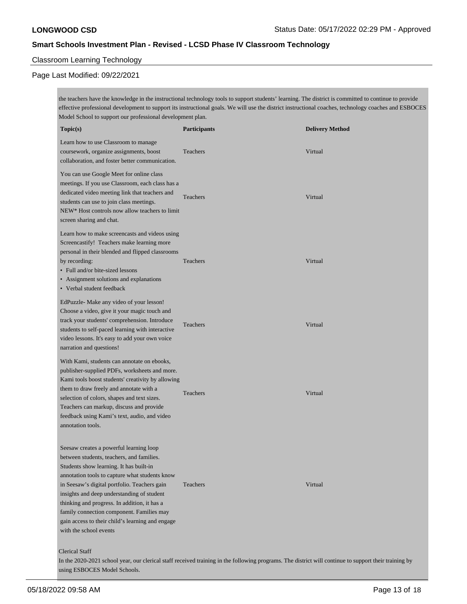## Classroom Learning Technology

# Page Last Modified: 09/22/2021

the teachers have the knowledge in the instructional technology tools to support students' learning. The district is committed to continue to provide effective professional development to support its instructional goals. We will use the district instructional coaches, technology coaches and ESBOCES Model School to support our professional development plan.

| Topic(s)                                                                                                                                                                                                                                                                                                                                                                                                                                                   | <b>Participants</b>                                                                                                                                   | <b>Delivery Method</b> |
|------------------------------------------------------------------------------------------------------------------------------------------------------------------------------------------------------------------------------------------------------------------------------------------------------------------------------------------------------------------------------------------------------------------------------------------------------------|-------------------------------------------------------------------------------------------------------------------------------------------------------|------------------------|
| Learn how to use Classroom to manage<br>coursework, organize assignments, boost<br>collaboration, and foster better communication.                                                                                                                                                                                                                                                                                                                         | Teachers                                                                                                                                              | Virtual                |
| You can use Google Meet for online class<br>meetings. If you use Classroom, each class has a<br>dedicated video meeting link that teachers and<br>students can use to join class meetings.<br>NEW* Host controls now allow teachers to limit<br>screen sharing and chat.                                                                                                                                                                                   | Teachers                                                                                                                                              | Virtual                |
| Learn how to make screencasts and videos using<br>Screencastify! Teachers make learning more<br>personal in their blended and flipped classrooms<br>by recording:<br>• Full and/or bite-sized lessons<br>• Assignment solutions and explanations<br>• Verbal student feedback                                                                                                                                                                              | Teachers                                                                                                                                              | Virtual                |
| EdPuzzle- Make any video of your lesson!<br>Choose a video, give it your magic touch and<br>track your students' comprehension. Introduce<br>students to self-paced learning with interactive<br>video lessons. It's easy to add your own voice<br>narration and questions!                                                                                                                                                                                | Teachers                                                                                                                                              | Virtual                |
| With Kami, students can annotate on ebooks,<br>publisher-supplied PDFs, worksheets and more.<br>Kami tools boost students' creativity by allowing<br>them to draw freely and annotate with a<br>selection of colors, shapes and text sizes.<br>Teachers can markup, discuss and provide<br>feedback using Kami's text, audio, and video<br>annotation tools.                                                                                               | Teachers                                                                                                                                              | Virtual                |
| Seesaw creates a powerful learning loop<br>between students, teachers, and families.<br>Students show learning. It has built-in<br>annotation tools to capture what students know<br>in Seesaw's digital portfolio. Teachers gain<br>insights and deep understanding of student<br>thinking and progress. In addition, it has a<br>family connection component. Families may<br>gain access to their child's learning and engage<br>with the school events | Teachers                                                                                                                                              | Virtual                |
| <b>Clerical Staff</b><br>using ESBOCES Model Schools.                                                                                                                                                                                                                                                                                                                                                                                                      | In the 2020-2021 school year, our clerical staff received training in the following programs. The district will continue to support their training by |                        |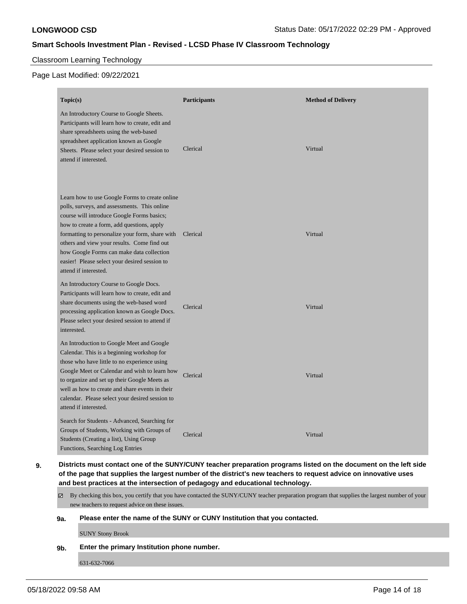## Classroom Learning Technology

# Page Last Modified: 09/22/2021

| Topic(s)                                                                                                                                                                                                                                                                                                                                                                                                            | <b>Participants</b> | <b>Method of Delivery</b> |
|---------------------------------------------------------------------------------------------------------------------------------------------------------------------------------------------------------------------------------------------------------------------------------------------------------------------------------------------------------------------------------------------------------------------|---------------------|---------------------------|
| An Introductory Course to Google Sheets.<br>Participants will learn how to create, edit and<br>share spreadsheets using the web-based<br>spreadsheet application known as Google<br>Sheets. Please select your desired session to<br>attend if interested.                                                                                                                                                          | Clerical            | Virtual                   |
| Learn how to use Google Forms to create online<br>polls, surveys, and assessments. This online<br>course will introduce Google Forms basics;<br>how to create a form, add questions, apply<br>formatting to personalize your form, share with<br>others and view your results. Come find out<br>how Google Forms can make data collection<br>easier! Please select your desired session to<br>attend if interested. | Clerical            | Virtual                   |
| An Introductory Course to Google Docs.<br>Participants will learn how to create, edit and<br>share documents using the web-based word<br>processing application known as Google Docs.<br>Please select your desired session to attend if<br>interested.                                                                                                                                                             | Clerical            | Virtual                   |
| An Introduction to Google Meet and Google<br>Calendar. This is a beginning workshop for<br>those who have little to no experience using<br>Google Meet or Calendar and wish to learn how<br>to organize and set up their Google Meets as<br>well as how to create and share events in their<br>calendar. Please select your desired session to<br>attend if interested.                                             | Clerical            | Virtual                   |
| Search for Students - Advanced, Searching for<br>Groups of Students, Working with Groups of<br>Students (Creating a list), Using Group<br>Functions, Searching Log Entries                                                                                                                                                                                                                                          | Clerical            | Virtual                   |

**9. Districts must contact one of the SUNY/CUNY teacher preparation programs listed on the document on the left side of the page that supplies the largest number of the district's new teachers to request advice on innovative uses and best practices at the intersection of pedagogy and educational technology.**

By checking this box, you certify that you have contacted the SUNY/CUNY teacher preparation program that supplies the largest number of your new teachers to request advice on these issues.

### **9a. Please enter the name of the SUNY or CUNY Institution that you contacted.**

SUNY Stony Brook

### **9b. Enter the primary Institution phone number.**

631-632-7066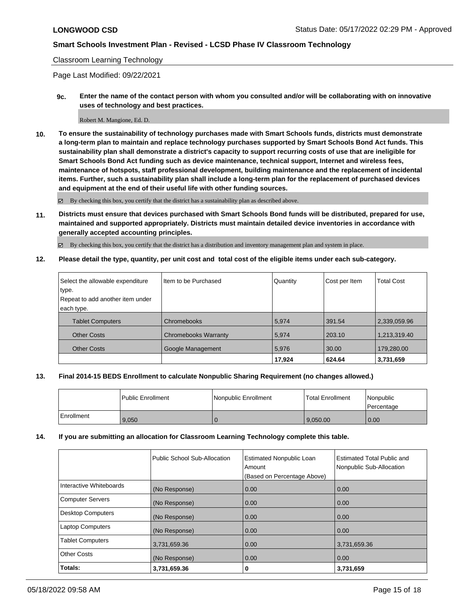### Classroom Learning Technology

Page Last Modified: 09/22/2021

**9c. Enter the name of the contact person with whom you consulted and/or will be collaborating with on innovative uses of technology and best practices.**

#### Robert M. Mangione, Ed. D.

**10. To ensure the sustainability of technology purchases made with Smart Schools funds, districts must demonstrate a long-term plan to maintain and replace technology purchases supported by Smart Schools Bond Act funds. This sustainability plan shall demonstrate a district's capacity to support recurring costs of use that are ineligible for Smart Schools Bond Act funding such as device maintenance, technical support, Internet and wireless fees, maintenance of hotspots, staff professional development, building maintenance and the replacement of incidental items. Further, such a sustainability plan shall include a long-term plan for the replacement of purchased devices and equipment at the end of their useful life with other funding sources.**

By checking this box, you certify that the district has a sustainability plan as described above.

**11. Districts must ensure that devices purchased with Smart Schools Bond funds will be distributed, prepared for use, maintained and supported appropriately. Districts must maintain detailed device inventories in accordance with generally accepted accounting principles.**

By checking this box, you certify that the district has a distribution and inventory management plan and system in place.

**12. Please detail the type, quantity, per unit cost and total cost of the eligible items under each sub-category.**

| Select the allowable expenditure | Iltem to be Purchased       | Quantity | Cost per Item | <b>Total Cost</b> |
|----------------------------------|-----------------------------|----------|---------------|-------------------|
| type.                            |                             |          |               |                   |
| Repeat to add another item under |                             |          |               |                   |
| each type.                       |                             |          |               |                   |
| <b>Tablet Computers</b>          | <b>Chromebooks</b>          | 5.974    | 391.54        | 2,339,059.96      |
| <b>Other Costs</b>               | <b>Chromebooks Warranty</b> | 5,974    | 203.10        | 1,213,319.40      |
| <b>Other Costs</b>               | Google Management           | 5,976    | 30.00         | 179,280.00        |
|                                  |                             | 17,924   | 624.64        | 3,731,659         |

### **13. Final 2014-15 BEDS Enrollment to calculate Nonpublic Sharing Requirement (no changes allowed.)**

|            | Public Enrollment | Nonpublic Enrollment | <b>Total Enrollment</b> | l Nonpublic<br>l Percentage |
|------------|-------------------|----------------------|-------------------------|-----------------------------|
| Enrollment | 9,050             |                      | 9.050.00                | $\overline{0.00}$           |

### **14. If you are submitting an allocation for Classroom Learning Technology complete this table.**

|                          | Public School Sub-Allocation | <b>Estimated Nonpublic Loan</b><br>Amount<br>(Based on Percentage Above) | <b>Estimated Total Public and</b><br>Nonpublic Sub-Allocation |
|--------------------------|------------------------------|--------------------------------------------------------------------------|---------------------------------------------------------------|
| Interactive Whiteboards  | (No Response)                | 0.00                                                                     | 0.00                                                          |
| Computer Servers         | (No Response)                | 0.00                                                                     | 0.00                                                          |
| <b>Desktop Computers</b> | (No Response)                | 0.00                                                                     | 0.00                                                          |
| <b>Laptop Computers</b>  | (No Response)                | 0.00                                                                     | 0.00                                                          |
| <b>Tablet Computers</b>  | 3,731,659.36                 | 0.00                                                                     | 3,731,659.36                                                  |
| Other Costs              | (No Response)                | 0.00                                                                     | 0.00                                                          |
| Totals:                  | 3,731,659.36                 | 0                                                                        | 3,731,659                                                     |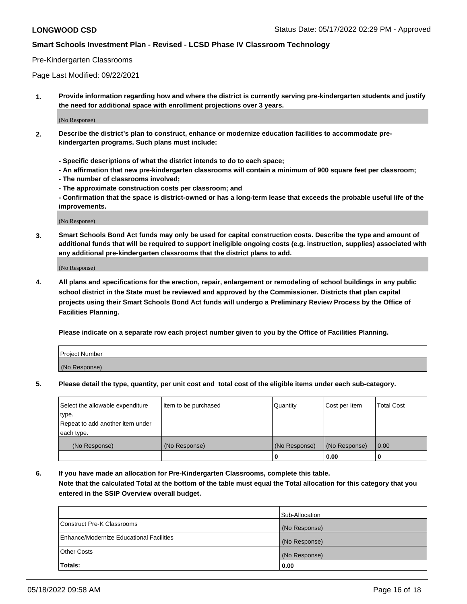### Pre-Kindergarten Classrooms

Page Last Modified: 09/22/2021

**1. Provide information regarding how and where the district is currently serving pre-kindergarten students and justify the need for additional space with enrollment projections over 3 years.**

(No Response)

- **2. Describe the district's plan to construct, enhance or modernize education facilities to accommodate prekindergarten programs. Such plans must include:**
	- **Specific descriptions of what the district intends to do to each space;**
	- **An affirmation that new pre-kindergarten classrooms will contain a minimum of 900 square feet per classroom;**
	- **The number of classrooms involved;**
	- **The approximate construction costs per classroom; and**
	- **Confirmation that the space is district-owned or has a long-term lease that exceeds the probable useful life of the improvements.**

(No Response)

**3. Smart Schools Bond Act funds may only be used for capital construction costs. Describe the type and amount of additional funds that will be required to support ineligible ongoing costs (e.g. instruction, supplies) associated with any additional pre-kindergarten classrooms that the district plans to add.**

(No Response)

**4. All plans and specifications for the erection, repair, enlargement or remodeling of school buildings in any public school district in the State must be reviewed and approved by the Commissioner. Districts that plan capital projects using their Smart Schools Bond Act funds will undergo a Preliminary Review Process by the Office of Facilities Planning.**

**Please indicate on a separate row each project number given to you by the Office of Facilities Planning.**

| Project Number |  |
|----------------|--|
| (No Response)  |  |

**5. Please detail the type, quantity, per unit cost and total cost of the eligible items under each sub-category.**

| Select the allowable expenditure | Item to be purchased | Quantity      | Cost per Item | <b>Total Cost</b> |
|----------------------------------|----------------------|---------------|---------------|-------------------|
| type.                            |                      |               |               |                   |
| Repeat to add another item under |                      |               |               |                   |
| each type.                       |                      |               |               |                   |
| (No Response)                    | (No Response)        | (No Response) | (No Response) | 0.00              |
|                                  |                      | 0             | 0.00          |                   |

**6. If you have made an allocation for Pre-Kindergarten Classrooms, complete this table.**

**Note that the calculated Total at the bottom of the table must equal the Total allocation for this category that you entered in the SSIP Overview overall budget.**

|                                          | Sub-Allocation |
|------------------------------------------|----------------|
| Construct Pre-K Classrooms               | (No Response)  |
| Enhance/Modernize Educational Facilities | (No Response)  |
| <b>Other Costs</b>                       | (No Response)  |
| Totals:                                  | 0.00           |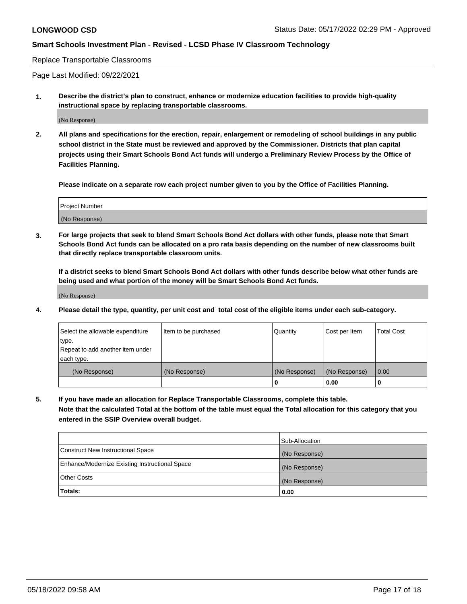#### Replace Transportable Classrooms

Page Last Modified: 09/22/2021

**1. Describe the district's plan to construct, enhance or modernize education facilities to provide high-quality instructional space by replacing transportable classrooms.**

(No Response)

**2. All plans and specifications for the erection, repair, enlargement or remodeling of school buildings in any public school district in the State must be reviewed and approved by the Commissioner. Districts that plan capital projects using their Smart Schools Bond Act funds will undergo a Preliminary Review Process by the Office of Facilities Planning.**

**Please indicate on a separate row each project number given to you by the Office of Facilities Planning.**

| <b>Project Number</b> |  |
|-----------------------|--|
| (No Response)         |  |

**3. For large projects that seek to blend Smart Schools Bond Act dollars with other funds, please note that Smart Schools Bond Act funds can be allocated on a pro rata basis depending on the number of new classrooms built that directly replace transportable classroom units.**

**If a district seeks to blend Smart Schools Bond Act dollars with other funds describe below what other funds are being used and what portion of the money will be Smart Schools Bond Act funds.**

(No Response)

**4. Please detail the type, quantity, per unit cost and total cost of the eligible items under each sub-category.**

| Select the allowable expenditure | Item to be purchased | Quantity      | Cost per Item | <b>Total Cost</b> |
|----------------------------------|----------------------|---------------|---------------|-------------------|
| type.                            |                      |               |               |                   |
| Repeat to add another item under |                      |               |               |                   |
| each type.                       |                      |               |               |                   |
| (No Response)                    | (No Response)        | (No Response) | (No Response) | 0.00              |
|                                  |                      | U             | 0.00          |                   |

**5. If you have made an allocation for Replace Transportable Classrooms, complete this table.**

**Note that the calculated Total at the bottom of the table must equal the Total allocation for this category that you entered in the SSIP Overview overall budget.**

|                                                | Sub-Allocation |
|------------------------------------------------|----------------|
| Construct New Instructional Space              | (No Response)  |
| Enhance/Modernize Existing Instructional Space | (No Response)  |
| <b>Other Costs</b>                             | (No Response)  |
| Totals:                                        | 0.00           |